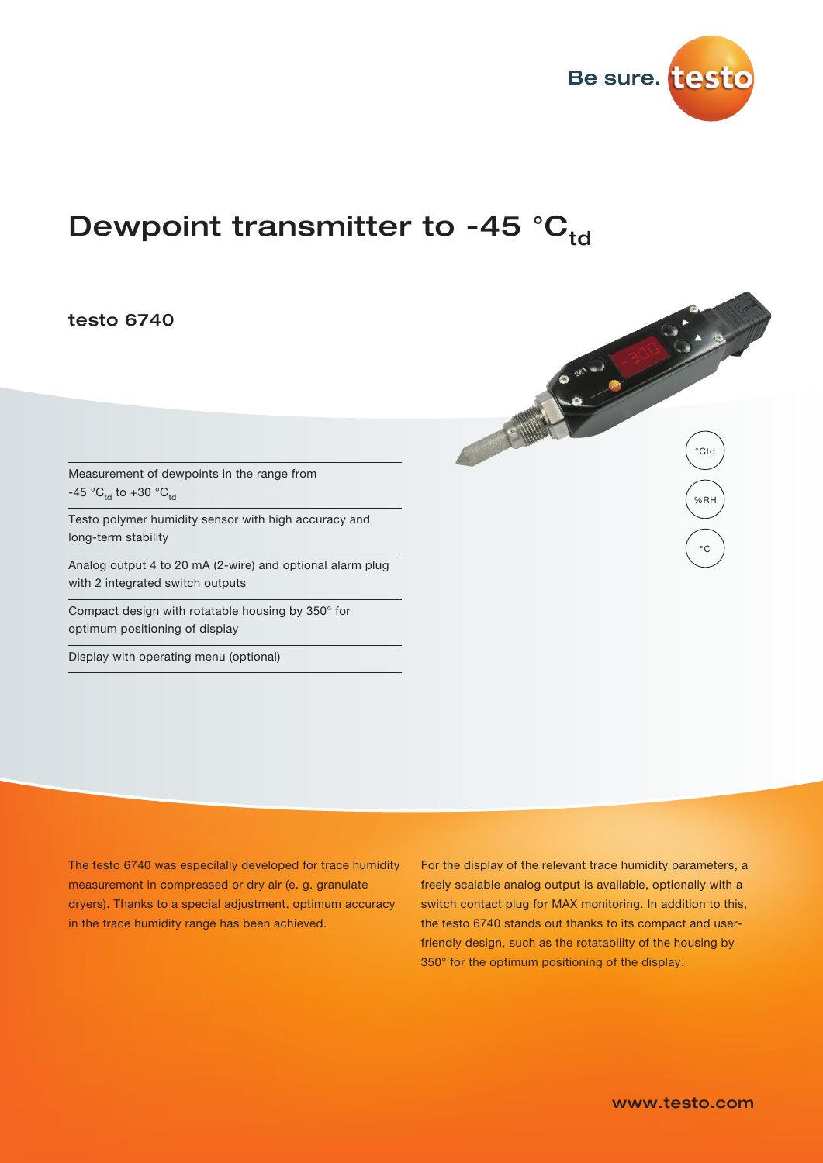

BOOK OF THE CAR

**CAW** 

%RH

 $^{\circ}C$ 

°Ctd

# Dewpoint transmitter to -45  $^{\circ}C_{td}$

## testo 6740

Measurement of dewpoints in the range from -45 °C<sub>td</sub> to +30 °C<sub>td</sub>

Testo polymer humidity sensor with high accuracy and long-term stability

Analog output 4 to 20 mA (2-wire) and optional alarm plug with 2 integrated switch outputs

Compact design with rotatable housing by 350° for optimum positioning of display

Display with operating menu (optional)

The testo 6740 was especilally developed for trace humidity measurement in compressed or dry air (e. g. granulate dryers). Thanks to a special adjustment, optimum accuracy in the trace humidity range has been achieved.

For the display of the relevant trace humidity parameters, a freely scalable analog output is available, optionally with a switch contact plug for MAX monitoring. In addition to this, the testo 6740 stands out thanks to its compact and userfriendly design, such as the rotatability of the housing by 350° for the optimum positioning of the display.

www.testo.com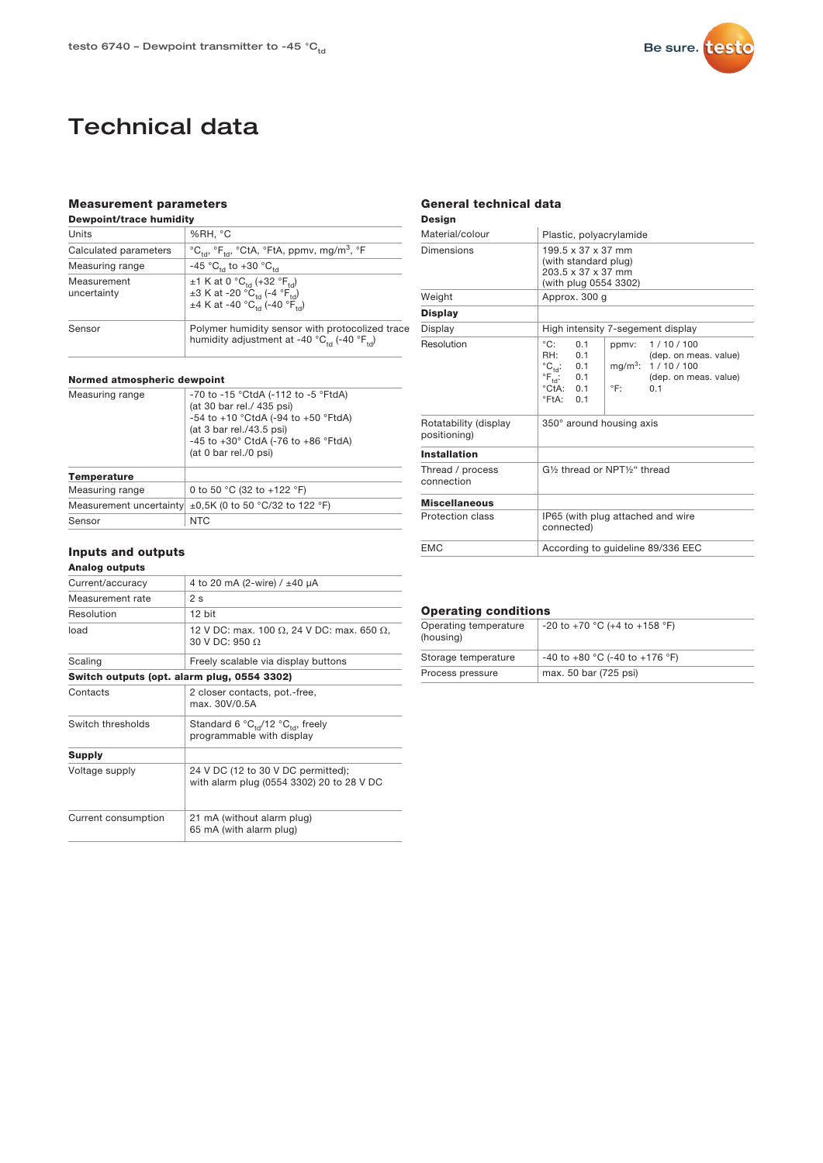

# Technical data

## Measurement parameters

| <b>Dewpoint/trace humidity</b> |                                                                                                                                                                                           |  |  |  |
|--------------------------------|-------------------------------------------------------------------------------------------------------------------------------------------------------------------------------------------|--|--|--|
| Units                          | %RH, °C                                                                                                                                                                                   |  |  |  |
| Calculated parameters          | $^{\circ}C_{\rm tot}$ , $^{\circ}F_{\rm tot}$ , $^{\circ}CtA$ , $^{\circ}FtA$ , ppmv, mg/m <sup>3</sup> , $^{\circ}F$                                                                     |  |  |  |
| Measuring range                | $-45$ °C <sub>td</sub> to $+30$ °C <sub>td</sub>                                                                                                                                          |  |  |  |
| Measurement<br>uncertainty     | ±1 K at 0 $^{\circ}C_{\text{td}}$ (+32 $^{\circ}F_{\text{td}}$ )<br>$\pm 3$ K at -20 °C <sub>td</sub> (-4 °F <sub>td</sub> )<br>$\pm$ 4 K at -40 °C <sub>td</sub> (-40 °F <sub>td</sub> ) |  |  |  |
| Sensor                         | Polymer humidity sensor with protocolized trace<br>humidity adjustment at -40 $^{\circ}C_{\text{tot}}$ (-40 $^{\circ}F_{\text{tot}}$ )                                                    |  |  |  |

#### Normed atmospheric dewpoint

| Measuring range         | -70 to -15 °CtdA (-112 to -5 °FtdA)<br>(at 30 bar rel./ 435 psi)<br>$-54$ to $+10$ °CtdA (-94 to $+50$ °FtdA)<br>(at 3 bar rel./43.5 psi)<br>$-45$ to $+30^{\circ}$ CtdA ( $-76$ to $+86^{\circ}$ FtdA)<br>(at 0 bar rel./0 psi) |  |
|-------------------------|----------------------------------------------------------------------------------------------------------------------------------------------------------------------------------------------------------------------------------|--|
| <b>Temperature</b>      |                                                                                                                                                                                                                                  |  |
| Measuring range         | 0 to 50 °C (32 to +122 °F)                                                                                                                                                                                                       |  |
| Measurement uncertainty | $\pm 0.5$ K (0 to 50 °C/32 to 122 °F)                                                                                                                                                                                            |  |
| Sensor                  | <b>NTC</b>                                                                                                                                                                                                                       |  |

## Inputs and outputs

### Analog outputs

| Current/accuracy    | 4 to 20 mA (2-wire) / ±40 µA                                                               |  |
|---------------------|--------------------------------------------------------------------------------------------|--|
| Measurement rate    | 2 <sub>s</sub>                                                                             |  |
| Resolution          | 12 bit                                                                                     |  |
| load                | 12 V DC: max. 100 $\Omega$ , 24 V DC: max. 650 $\Omega$ ,<br>30 V DC: 950 $\Omega$         |  |
| Scaling             | Freely scalable via display buttons                                                        |  |
|                     | Switch outputs (opt. alarm plug, 0554 3302)                                                |  |
| Contacts            | 2 closer contacts, pot.-free,<br>max. 30V/0.5A                                             |  |
| Switch thresholds   | Standard 6 ${}^{\circ}C_{td}$ /12 ${}^{\circ}C_{td}$ , freely<br>programmable with display |  |
| <b>Supply</b>       |                                                                                            |  |
| Voltage supply      | 24 V DC (12 to 30 V DC permitted);<br>with alarm plug (0554 3302) 20 to 28 V DC            |  |
| Current consumption | 21 mA (without alarm plug)<br>65 mA (with alarm plug)                                      |  |

## General technical data

## Design

| Material/colour                       | Plastic, polyacrylamide                                                                                                                                                                                                                                                                                                                |  |  |  |
|---------------------------------------|----------------------------------------------------------------------------------------------------------------------------------------------------------------------------------------------------------------------------------------------------------------------------------------------------------------------------------------|--|--|--|
| Dimensions                            | 199.5 x 37 x 37 mm<br>(with standard plug)<br>203.5 x 37 x 37 mm<br>(with plug 0554 3302)                                                                                                                                                                                                                                              |  |  |  |
| Weight                                | Approx. 300 q                                                                                                                                                                                                                                                                                                                          |  |  |  |
| <b>Display</b>                        |                                                                                                                                                                                                                                                                                                                                        |  |  |  |
| Display                               | High intensity 7-segement display                                                                                                                                                                                                                                                                                                      |  |  |  |
| Resolution                            | $^{\circ}$ C:<br>0 <sub>1</sub><br>1/10/100<br>ppmy:<br>(dep. on meas. value)<br>RH <sup>.</sup><br>0.1<br>$^{\circ}C_{\text{td}}$ 0.1<br>$mg/m^3$ :<br>1/10/100<br>$\mathrm{^{\circ}F_{td}}$ :<br>0.1<br>(dep. on meas. value)<br>$\degree$ CtA $\degree$ 0.1<br>$^{\circ}$ F $^{\circ}$<br>0 <sub>1</sub><br>°FtA:<br>0 <sub>1</sub> |  |  |  |
| Rotatability (display<br>positioning) | 350° around housing axis                                                                                                                                                                                                                                                                                                               |  |  |  |
| <b>Installation</b>                   |                                                                                                                                                                                                                                                                                                                                        |  |  |  |
| Thread / process<br>connection        | G1% thread or NPT1%" thread                                                                                                                                                                                                                                                                                                            |  |  |  |
| <b>Miscellaneous</b>                  |                                                                                                                                                                                                                                                                                                                                        |  |  |  |
| Protection class                      | IP65 (with plug attached and wire<br>connected)                                                                                                                                                                                                                                                                                        |  |  |  |
| <b>FMC</b>                            | According to guideline 89/336 EEC                                                                                                                                                                                                                                                                                                      |  |  |  |

### Operating conditions

| Operating temperature<br>(housing) | -20 to +70 °C (+4 to +158 °F)        |
|------------------------------------|--------------------------------------|
| Storage temperature                | $-40$ to $+80$ °C (-40 to $+176$ °F) |
| Process pressure                   | max. 50 bar (725 psi)                |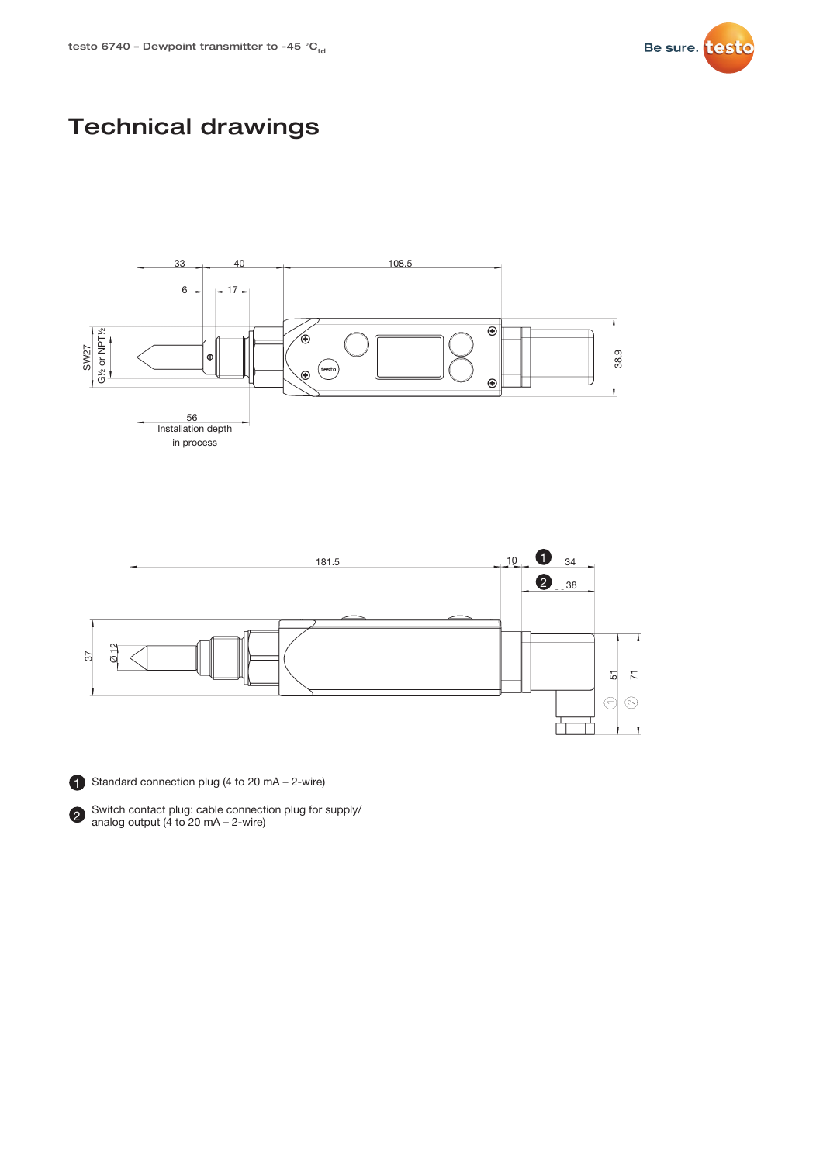

# Technical drawings







1 Standard connection plug (4 to 20 mA - 2-wire)



Switch contact plug: cable connection plug for supply/ 2 Switch contact plug. cable connect<br>analog output (4 to 20 mA – 2-wire)